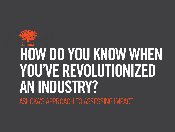## **HOW DO YOU KNOW WHEN YOU'VE REVOLUTIONIZED AN INDUSTRY?** ASHOKA'S APPROACH TO ASSESSING IMPACT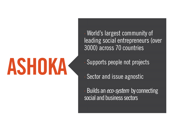# **ASHOKA**

· World's largest community of leading social entrepreneurs (over 3000) across 70 countries

Supports people not projects

Sector and issue agnostic

· Builds an *eco-system* by connecting social and business sectors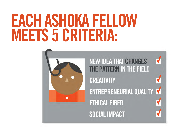## **EACH ASHOKA FELLOW MEETS 5 CRITERIA:**



**NEW IDEA THAT CHANGES** THE PATTERN IN THE FIELD **CREATIVITY** ENTREPRENEURIAL QUALITY **ETHICAL FIBER SOCIAL IMPACT**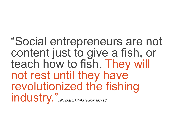"Social entrepreneurs are not content just to give a fish, or teach how to fish. They will not rest until they have revolutionized the fishing industry."*Bill Drayton, Ashoka Founder and CEO*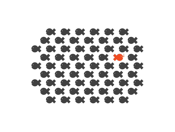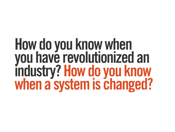# **How do you know when you have revolutionized an industry? How do you know when a system is changed?**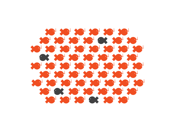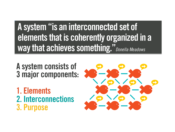**A system "is an interconnected set of elements that is coherently organized in a way that achieves something."***Donella Meadows* 

**A system consists of 3 major components:** 

**1. Elements 2. Interconnections 3. Purpose** 

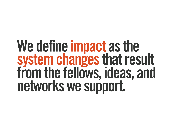#### **We define impact as the system changes that result from the fellows, ideas, and networks we support.**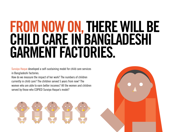#### **FROM NOW ON, THERE WILL BE CHILD CARE IN BANGLADESHI GARMENT FACTORIES.**

Suraiya Haque developed a self-sustaining model for child care services in Bangladeshi factories.

How do we measure the impact of her work? The numbers of children currently in child care? The children served 5 years from now? The women who are able to earn better incomes? All the women and children served by those who COPIED Suraiya Haque's model?



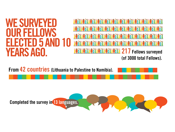#### **WE SURVEYED OUR FELLOWS ELECTED 5 AND 10**

**EMARS ARRAIGEMENT AGO. 217 Fellows surveyed (of 3000 total Fellows).** 

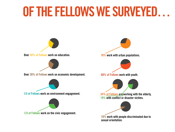#### **OF THE FELLOWS WE SURVEYED…**

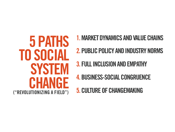

**1. MARKET DYNAMICS AND VALUE CHAINS 2. PUBLIC POLICY AND INDUSTRY NORMS 3. FULL INCLUSION AND EMPATHY 4. BUSINESS-SOCIAL CONGRUENCE 5.CULTURE OF CHANGEMAKING**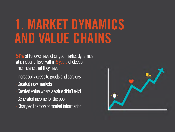### **1. MARKET DYNAMICS AND VALUE CHAINS**

54%of Fellows have changed market dynamics at a national level within 5 years of election. This means that they have:

- · Increased access to goods and services
- ·Created new markets
- Created value where a value didn't exist
- Generated income for the poor
- ·Changed the flow of market information

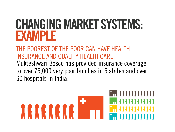#### **CHANGING MARKET SYSTEMS: EXAMPLE**

THE POOREST OF THE POOR CAN HAVE HEALTH INSURANCE AND QUALITY HEALTH CARE. Mukteshwari Bosco has provided insurance coverage to over 75,000 very poor families in 5 states and over 60 hospitals in India.

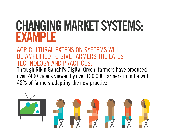#### **CHANGING MARKET SYSTEMS: EXAMPLE**

AGRICULTURAL EXTENSION SYSTEMS WILL BE AMPLIFIED TO GIVE FARMERS THE LATEST TECHNOLOGY AND PRACTICES.

Through Rikin Gandhi's Digital Green, farmers have produced over 2400 videos viewed by over 120,000 farmers in India with 48% of farmers adopting the new practice.

![](_page_15_Picture_3.jpeg)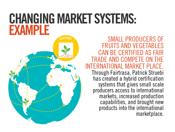#### **CHANGING MARKET SYSTEMS: EXAMPLE**

 $C$ **ERTIFIED** 

SMALL PRODUCERS OF FRUITS AND VEGETABLES CAN BE CERTIFIED AS FAIR TRADE AND COMPETE ON THE INTERNATIONAL MARKET PLACE.

Through Fairtrasa, Patrick Struebi has created a hybrid certification systems that gives small scale producers access to international markets, increased production capabilities, and brought new products into the international marketplace.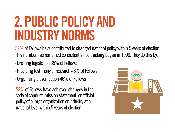#### **2. PUBLIC POLICY AND INDUSTRY NORMS**

57% of Fellows have contributed to changed national policy within 5 years of election. This number has remained consistent since tracking began in 1998. They do this by:

- · Drafting legislation 35% of Fellows
- · Providing testimony or research 48% of Fellows
- · Organizing citizen action 46% of Fellows

52% of Fellows have achieved changes in the code of conduct, mission statement, or official policy of a large organization or industry at a national level within 5 years of election

![](_page_17_Picture_6.jpeg)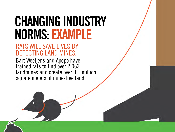#### **CHANGING INDUSTRY NORMS: EXAMPLE**

#### RATS WILL SAVE LIVES BY DETECTING LAND MINES.

Bart Weetjens and Apopo have trained rats to find over 2,063 landmines and create over 3.1 million square meters of mine-free land.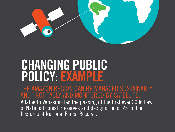#### **CHANGING PUBLIC POLICY: EXAMPLE**

THE AMAZON REGION CAN BE MANAGED SUSTAINABLY AND PROFITABLY AND MONITORED BY SATELLITE.

Adalberto Verissimo led the passing of the first ever 2006 Law of National Forest Preserves and designation of 25 million hectares of National Forest Reserve.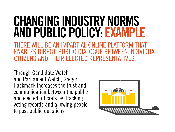#### **CHANGING INDUSTRY NORMS AND PUBLIC POLICY: EXAMPLE**

THERE WILL BE AN IMPARTIAL ONLINE PLATFORM THAT ENABLES DIRECT, PUBLIC DIALOGUE BETWEEN INDIVIDUAL CITIZENS AND THEIR ELECTED REPRESENTATIVES.

Through Candidate Watch and Parliament Watch, Gregor Hackmack increases the trust and communication between the public and elected officials by tracking voting records and allowing people to post public questions.

![](_page_20_Picture_3.jpeg)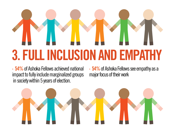# **3. FULL INCLUSION AND EMPATHY**

**· 54%**of Ashoka Fellows achieved national impact to fully include marginalized groups in society within 5 years of election.

**· 54%** of Ashoka Fellows see empathy as a major focus of their work

![](_page_21_Picture_3.jpeg)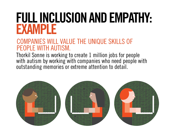#### **FULL INCLUSION AND EMPATHY: EXAMPLE**

#### COMPANIES WILL VALUE THE UNIQUE SKILLS OF PEOPLE WITH AUTISM.

Thorkil Sonne is working to create 1 million jobs for people with autism by working with companies who need people with outstanding memories or extreme attention to detail.

![](_page_22_Figure_3.jpeg)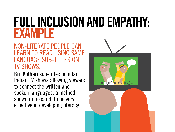#### **FULL INCLUSION AND EMPATHY: EXAMPLE**

#### NON-LITERATE PEOPLE CAN LEARN TO READ USING SAME LANGUAGE SUB-TITLES ON TV SHOWS.

Brij Kothari sub-titles popular Indian TV shows allowing viewers to connect the written and spoken languages, a method shown in research to be very effective in developing literacy.

![](_page_23_Picture_3.jpeg)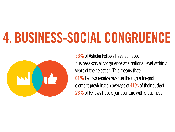## **4. BUSINESS-SOCIAL CONGRUENCE**

![](_page_24_Picture_1.jpeg)

**56%**of Ashoka Fellows have achieved business-social congruence at a national level within 5 years of their election. This means that: **61%** Fellows receive revenue through a for-profit element providing an average of **41%**of their budget. **28%** of Fellows have a joint venture with a business.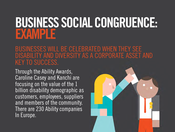#### **BUSINESS SOCIAL CONGRUENCE: EXAMPLE**

BUSINESSES WILL BE CELEBRATED WHEN THEY SEE DISABILITY AND DIVERSITY AS A CORPORATE ASSET AND KEY TO SUCCESS.

Through the Ability Awards, Caroline Casey and Kanchi are focusing on the value of the 1 billion disability demographic as customers, employees, suppliers and members of the community. There are 230 Ability companies In Europe.

![](_page_25_Picture_3.jpeg)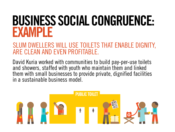#### **BUSINESS SOCIAL CONGRUENCE: EXAMPLE**

SLUM DWELLERS WILL USE TOILETS THAT ENABLE DIGNITY, ARE CLEAN AND EVEN PROFITABLE.

David Kuria worked with communities to build pay-per-use toilets and showers, staffed with youth who maintain them and linked them with small businesses to provide private, dignified facilities in a sustainable business model.

![](_page_26_Figure_3.jpeg)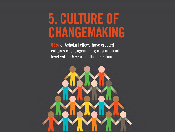#### **5. CULTURE OF CHANGEMAKING**

**66%** of Ashoka Fellows have created cultures of changemaking at a national level within 5 years of their election.

![](_page_27_Picture_2.jpeg)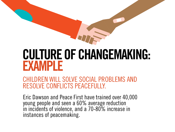![](_page_28_Picture_0.jpeg)

#### **CULTURE OF CHANGEMAKING: EXAMPLE**

CHILDREN WILL SOLVE SOCIAL PROBLEMS AND RESOLVE CONFLICTS PEACEFULLY.

Eric Dawson and Peace First have trained over 40,000 young people and seen a 60% average reduction in incidents of violence, and a 70-80% increase in instances of peacemaking.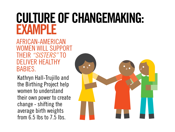#### **CULTURE OF CHANGEMAKING: EXAMPLE**

AFRICAN-AMERICAN WOMEN WILL SUPPORT THEIR *"SISTERS"* TO DELIVER HEALTHY BABIES.

Kathryn Hall-Trujillo and the Birthing Project help women to understand their own power to create change - shifting the average birth weights from 6.5 lbs to 7.5 lbs.

![](_page_29_Picture_3.jpeg)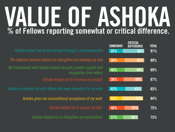## **VALUE OF ASHOKA % of Fellows reporting somewhat or critical difference.**

| <b>SOMEWHAT</b> |  |
|-----------------|--|
| 35%             |  |
|                 |  |
| 39%             |  |
|                 |  |
| 40%             |  |
|                 |  |
| 38%             |  |
|                 |  |
| 42%             |  |
|                 |  |
| 32%             |  |
|                 |  |
| 40%             |  |
|                 |  |
| 37%             |  |
|                 |  |

| <b>SOMEWHAT</b> | CRITICAL<br><b>DIFFERENCE</b> | <b>TOTAL</b> |
|-----------------|-------------------------------|--------------|
| 35%             | 56%                           | 91%          |
| 39%             | $50\%$                        | 89%          |
|                 |                               |              |
| 40%             | 49%                           | 89%          |
| 38%             | 49%                           | 87%          |
| 42%             | 43%                           | 85%          |
| 32%             | $52\%$                        | 84%          |
| 40%             | 35%                           | 75%          |
| 37%             | $36\%$                        | 73%          |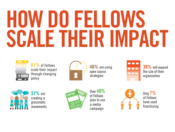# **HOW DO FELLOWS SCALE THEIR IMPACT**

![](_page_31_Picture_1.jpeg)

**61%** of Fellows scale their impact through changing policy

![](_page_31_Picture_3.jpeg)

**46%** are using open source strategies

![](_page_31_Picture_5.jpeg)

**39%** will expand the size of their organization

![](_page_31_Picture_7.jpeg)

**57%** are creating a grassroots movements

![](_page_31_Picture_9.jpeg)

Over **40%** of Fellows plan to use a media campaign

![](_page_31_Picture_11.jpeg)

Only **7%**  of Fellows have used franchising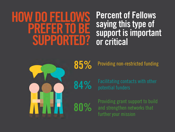#### **HOW DO FELLOWS PREFER TO BE SUPPORTED?**

**Percent of Fellows saying this type of support is important or critical** 

![](_page_32_Picture_2.jpeg)

#### **85%**

Providing non-restricted funding

**84%** 

Facilitating contacts with other potential funders

**80%** 

Providing grant support to build and strengthen networks that further your mission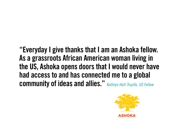**"Everyday I give thanks that I am an Ashoka fellow. As a grassroots African American woman living in the US, Ashoka opens doors that I would never have had access to and has connected me to a global community of ideas and allies."** *Kathryn Hall-Trujillo, US Fellow* 

![](_page_33_Picture_1.jpeg)